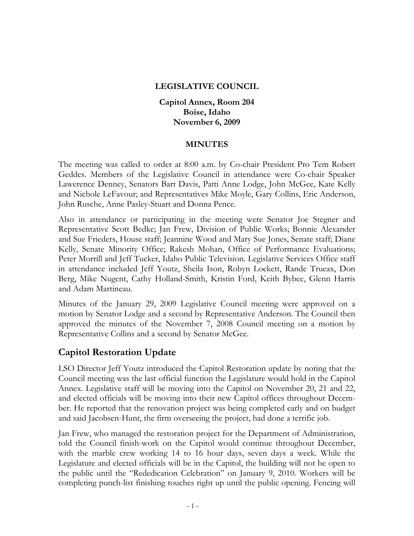#### **LEGISLATIVE COUNCIL**

**Capitol Annex, Room 204 Boise, Idaho November 6, 2009** 

#### **MINUTES**

The meeting was called to order at 8:00 a.m. by Co-chair President Pro Tem Robert Geddes. Members of the Legislative Council in attendance were Co-chair Speaker Lawerence Denney, Senators Bart Davis, Patti Anne Lodge, John McGee, Kate Kelly and Nichole LeFavour; and Representatives Mike Moyle, Gary Collins, Eric Anderson, John Rusche, Anne Pasley-Stuart and Donna Pence.

Also in attendance or participating in the meeting were Senator Joe Stegner and Representative Scott Bedke; Jan Frew, Division of Public Works; Bonnie Alexander and Sue Frieders, House staff; Jeannine Wood and Mary Sue Jones, Senate staff; Diane Kelly, Senate Minority Office; Rakesh Mohan, Office of Performance Evaluations; Peter Morrill and Jeff Tucker, Idaho Public Television. Legislative Services Office staff in attendance included Jeff Youtz, Sheila Ison, Robyn Lockett, Rande Trueax, Don Berg, Mike Nugent, Cathy Holland-Smith, Kristin Ford, Keith Bybee, Glenn Harris and Adam Martineau.

Minutes of the January 29, 2009 Legislative Council meeting were approved on a motion by Senator Lodge and a second by Representative Anderson. The Council then approved the minutes of the November 7, 2008 Council meeting on a motion by Representative Collins and a second by Senator McGee.

#### **Capitol Restoration Update**

LSO Director Jeff Youtz introduced the Capitol Restoration update by noting that the Council meeting was the last official function the Legislature would hold in the Capitol Annex. Legislative staff will be moving into the Capitol on November 20, 21 and 22, and elected officials will be moving into their new Capitol offices throughout December. He reported that the renovation project was being completed early and on budget and said Jacobsen-Hunt, the firm overseeing the project, had done a terrific job.

Jan Frew, who managed the restoration project for the Department of Administration, told the Council finish-work on the Capitol would continue throughout December, with the marble crew working 14 to 16 hour days, seven days a week. While the Legislature and elected officials will be in the Capitol, the building will not be open to the public until the "Rededication Celebration" on January 9, 2010. Workers will be completing punch-list finishing touches right up until the public opening. Fencing will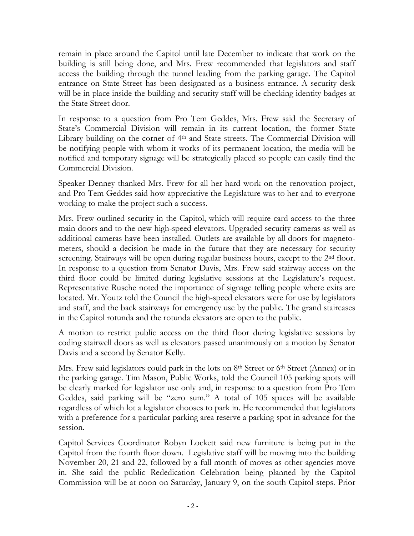remain in place around the Capitol until late December to indicate that work on the building is still being done, and Mrs. Frew recommended that legislators and staff access the building through the tunnel leading from the parking garage. The Capitol entrance on State Street has been designated as a business entrance. A security desk will be in place inside the building and security staff will be checking identity badges at the State Street door.

In response to a question from Pro Tem Geddes, Mrs. Frew said the Secretary of State's Commercial Division will remain in its current location, the former State Library building on the corner of 4<sup>th</sup> and State streets. The Commercial Division will be notifying people with whom it works of its permanent location, the media will be notified and temporary signage will be strategically placed so people can easily find the Commercial Division.

Speaker Denney thanked Mrs. Frew for all her hard work on the renovation project, and Pro Tem Geddes said how appreciative the Legislature was to her and to everyone working to make the project such a success.

Mrs. Frew outlined security in the Capitol, which will require card access to the three main doors and to the new high-speed elevators. Upgraded security cameras as well as additional cameras have been installed. Outlets are available by all doors for magnetometers, should a decision be made in the future that they are necessary for security screening. Stairways will be open during regular business hours, except to the 2<sup>nd</sup> floor. In response to a question from Senator Davis, Mrs. Frew said stairway access on the third floor could be limited during legislative sessions at the Legislature's request. Representative Rusche noted the importance of signage telling people where exits are located. Mr. Youtz told the Council the high-speed elevators were for use by legislators and staff, and the back stairways for emergency use by the public. The grand staircases in the Capitol rotunda and the rotunda elevators are open to the public.

A motion to restrict public access on the third floor during legislative sessions by coding stairwell doors as well as elevators passed unanimously on a motion by Senator Davis and a second by Senator Kelly.

Mrs. Frew said legislators could park in the lots on 8<sup>th</sup> Street or 6<sup>th</sup> Street (Annex) or in the parking garage. Tim Mason, Public Works, told the Council 105 parking spots will be clearly marked for legislator use only and, in response to a question from Pro Tem Geddes, said parking will be "zero sum." A total of 105 spaces will be available regardless of which lot a legislator chooses to park in. He recommended that legislators with a preference for a particular parking area reserve a parking spot in advance for the session.

Capitol Services Coordinator Robyn Lockett said new furniture is being put in the Capitol from the fourth floor down. Legislative staff will be moving into the building November 20, 21 and 22, followed by a full month of moves as other agencies move in. She said the public Rededication Celebration being planned by the Capitol Commission will be at noon on Saturday, January 9, on the south Capitol steps. Prior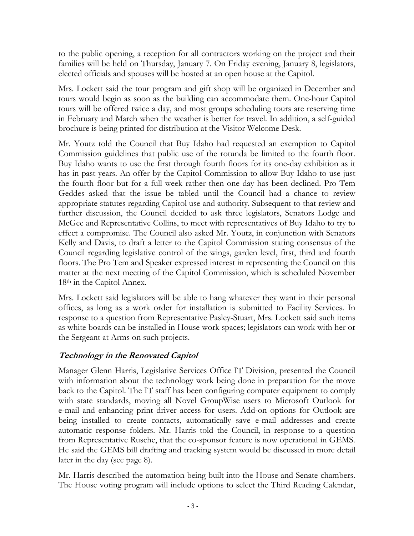to the public opening, a reception for all contractors working on the project and their families will be held on Thursday, January 7. On Friday evening, January 8, legislators, elected officials and spouses will be hosted at an open house at the Capitol.

Mrs. Lockett said the tour program and gift shop will be organized in December and tours would begin as soon as the building can accommodate them. One-hour Capitol tours will be offered twice a day, and most groups scheduling tours are reserving time in February and March when the weather is better for travel. In addition, a self-guided brochure is being printed for distribution at the Visitor Welcome Desk.

Mr. Youtz told the Council that Buy Idaho had requested an exemption to Capitol Commission guidelines that public use of the rotunda be limited to the fourth floor. Buy Idaho wants to use the first through fourth floors for its one-day exhibition as it has in past years. An offer by the Capitol Commission to allow Buy Idaho to use just the fourth floor but for a full week rather then one day has been declined. Pro Tem Geddes asked that the issue be tabled until the Council had a chance to review appropriate statutes regarding Capitol use and authority. Subsequent to that review and further discussion, the Council decided to ask three legislators, Senators Lodge and McGee and Representative Collins, to meet with representatives of Buy Idaho to try to effect a compromise. The Council also asked Mr. Youtz, in conjunction with Senators Kelly and Davis, to draft a letter to the Capitol Commission stating consensus of the Council regarding legislative control of the wings, garden level, first, third and fourth floors. The Pro Tem and Speaker expressed interest in representing the Council on this matter at the next meeting of the Capitol Commission, which is scheduled November 18<sup>th</sup> in the Capitol Annex.

Mrs. Lockett said legislators will be able to hang whatever they want in their personal offices, as long as a work order for installation is submitted to Facility Services. In response to a question from Representative Pasley-Stuart, Mrs. Lockett said such items as white boards can be installed in House work spaces; legislators can work with her or the Sergeant at Arms on such projects.

#### **Technology in the Renovated Capitol**

Manager Glenn Harris, Legislative Services Office IT Division, presented the Council with information about the technology work being done in preparation for the move back to the Capitol. The IT staff has been configuring computer equipment to comply with state standards, moving all Novel GroupWise users to Microsoft Outlook for e-mail and enhancing print driver access for users. Add-on options for Outlook are being installed to create contacts, automatically save e-mail addresses and create automatic response folders. Mr. Harris told the Council, in response to a question from Representative Rusche, that the co-sponsor feature is now operational in GEMS. He said the GEMS bill drafting and tracking system would be discussed in more detail later in the day (see page 8).

Mr. Harris described the automation being built into the House and Senate chambers. The House voting program will include options to select the Third Reading Calendar,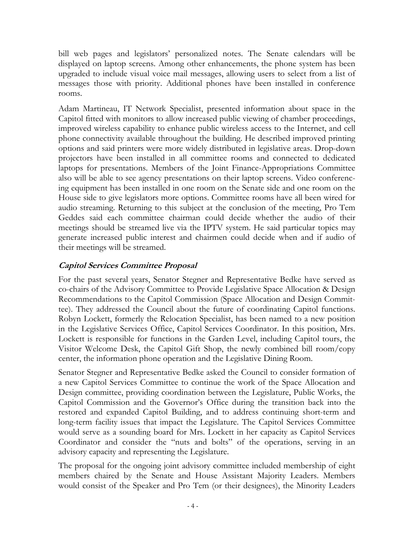bill web pages and legislators' personalized notes. The Senate calendars will be displayed on laptop screens. Among other enhancements, the phone system has been upgraded to include visual voice mail messages, allowing users to select from a list of messages those with priority. Additional phones have been installed in conference rooms.

Adam Martineau, IT Network Specialist, presented information about space in the Capitol fitted with monitors to allow increased public viewing of chamber proceedings, improved wireless capability to enhance public wireless access to the Internet, and cell phone connectivity available throughout the building. He described improved printing options and said printers were more widely distributed in legislative areas. Drop-down projectors have been installed in all committee rooms and connected to dedicated laptops for presentations. Members of the Joint Finance-Appropriations Committee also will be able to see agency presentations on their laptop screens. Video conferencing equipment has been installed in one room on the Senate side and one room on the House side to give legislators more options. Committee rooms have all been wired for audio streaming. Returning to this subject at the conclusion of the meeting, Pro Tem Geddes said each committee chairman could decide whether the audio of their meetings should be streamed live via the IPTV system. He said particular topics may generate increased public interest and chairmen could decide when and if audio of their meetings will be streamed.

#### **Capitol Services Committee Proposal**

For the past several years, Senator Stegner and Representative Bedke have served as co-chairs of the Advisory Committee to Provide Legislative Space Allocation & Design Recommendations to the Capitol Commission (Space Allocation and Design Committee). They addressed the Council about the future of coordinating Capitol functions. Robyn Lockett, formerly the Relocation Specialist, has been named to a new position in the Legislative Services Office, Capitol Services Coordinator. In this position, Mrs. Lockett is responsible for functions in the Garden Level, including Capitol tours, the Visitor Welcome Desk, the Capitol Gift Shop, the newly combined bill room/copy center, the information phone operation and the Legislative Dining Room.

Senator Stegner and Representative Bedke asked the Council to consider formation of a new Capitol Services Committee to continue the work of the Space Allocation and Design committee, providing coordination between the Legislature, Public Works, the Capitol Commission and the Governor's Office during the transition back into the restored and expanded Capitol Building, and to address continuing short-term and long-term facility issues that impact the Legislature. The Capitol Services Committee would serve as a sounding board for Mrs. Lockett in her capacity as Capitol Services Coordinator and consider the "nuts and bolts" of the operations, serving in an advisory capacity and representing the Legislature.

The proposal for the ongoing joint advisory committee included membership of eight members chaired by the Senate and House Assistant Majority Leaders. Members would consist of the Speaker and Pro Tem (or their designees), the Minority Leaders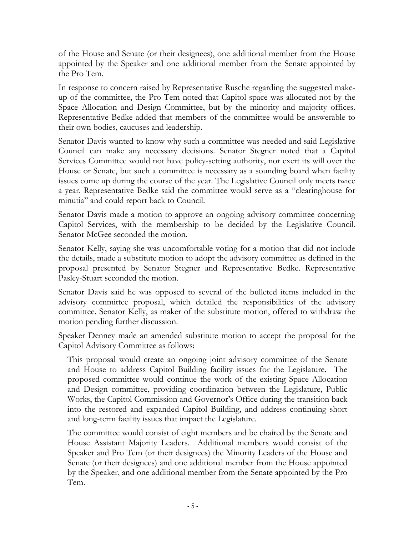of the House and Senate (or their designees), one additional member from the House appointed by the Speaker and one additional member from the Senate appointed by the Pro Tem.

In response to concern raised by Representative Rusche regarding the suggested makeup of the committee, the Pro Tem noted that Capitol space was allocated not by the Space Allocation and Design Committee, but by the minority and majority offices. Representative Bedke added that members of the committee would be answerable to their own bodies, caucuses and leadership.

Senator Davis wanted to know why such a committee was needed and said Legislative Council can make any necessary decisions. Senator Stegner noted that a Capitol Services Committee would not have policy-setting authority, nor exert its will over the House or Senate, but such a committee is necessary as a sounding board when facility issues come up during the course of the year. The Legislative Council only meets twice a year. Representative Bedke said the committee would serve as a "clearinghouse for minutia" and could report back to Council.

Senator Davis made a motion to approve an ongoing advisory committee concerning Capitol Services, with the membership to be decided by the Legislative Council. Senator McGee seconded the motion.

Senator Kelly, saying she was uncomfortable voting for a motion that did not include the details, made a substitute motion to adopt the advisory committee as defined in the proposal presented by Senator Stegner and Representative Bedke. Representative Pasley-Stuart seconded the motion.

Senator Davis said he was opposed to several of the bulleted items included in the advisory committee proposal, which detailed the responsibilities of the advisory committee. Senator Kelly, as maker of the substitute motion, offered to withdraw the motion pending further discussion.

Speaker Denney made an amended substitute motion to accept the proposal for the Capitol Advisory Committee as follows:

This proposal would create an ongoing joint advisory committee of the Senate and House to address Capitol Building facility issues for the Legislature. The proposed committee would continue the work of the existing Space Allocation and Design committee, providing coordination between the Legislature, Public Works, the Capitol Commission and Governor's Office during the transition back into the restored and expanded Capitol Building, and address continuing short and long-term facility issues that impact the Legislature.

The committee would consist of eight members and be chaired by the Senate and House Assistant Majority Leaders. Additional members would consist of the Speaker and Pro Tem (or their designees) the Minority Leaders of the House and Senate (or their designees) and one additional member from the House appointed by the Speaker, and one additional member from the Senate appointed by the Pro Tem.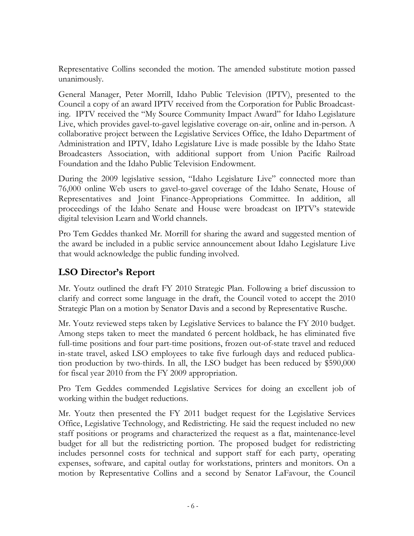Representative Collins seconded the motion. The amended substitute motion passed unanimously.

General Manager, Peter Morrill, Idaho Public Television (IPTV), presented to the Council a copy of an award IPTV received from the Corporation for Public Broadcasting. IPTV received the "My Source Community Impact Award" for Idaho Legislature Live, which provides gavel-to-gavel legislative coverage on-air, online and in-person. A collaborative project between the Legislative Services Office, the Idaho Department of Administration and IPTV, Idaho Legislature Live is made possible by the Idaho State Broadcasters Association, with additional support from Union Pacific Railroad Foundation and the Idaho Public Television Endowment.

During the 2009 legislative session, "Idaho Legislature Live" connected more than 76,000 online Web users to gavel-to-gavel coverage of the Idaho Senate, House of Representatives and Joint Finance-Appropriations Committee. In addition, all proceedings of the Idaho Senate and House were broadcast on IPTV's statewide digital television Learn and World channels.

Pro Tem Geddes thanked Mr. Morrill for sharing the award and suggested mention of the award be included in a public service announcement about Idaho Legislature Live that would acknowledge the public funding involved.

# **LSO Director's Report**

Mr. Youtz outlined the draft FY 2010 Strategic Plan. Following a brief discussion to clarify and correct some language in the draft, the Council voted to accept the 2010 Strategic Plan on a motion by Senator Davis and a second by Representative Rusche.

Mr. Youtz reviewed steps taken by Legislative Services to balance the FY 2010 budget. Among steps taken to meet the mandated 6 percent holdback, he has eliminated five full-time positions and four part-time positions, frozen out-of-state travel and reduced in-state travel, asked LSO employees to take five furlough days and reduced publication production by two-thirds. In all, the LSO budget has been reduced by \$590,000 for fiscal year 2010 from the FY 2009 appropriation.

Pro Tem Geddes commended Legislative Services for doing an excellent job of working within the budget reductions.

Mr. Youtz then presented the FY 2011 budget request for the Legislative Services Office, Legislative Technology, and Redistricting. He said the request included no new staff positions or programs and characterized the request as a flat, maintenance-level budget for all but the redistricting portion. The proposed budget for redistricting includes personnel costs for technical and support staff for each party, operating expenses, software, and capital outlay for workstations, printers and monitors. On a motion by Representative Collins and a second by Senator LaFavour, the Council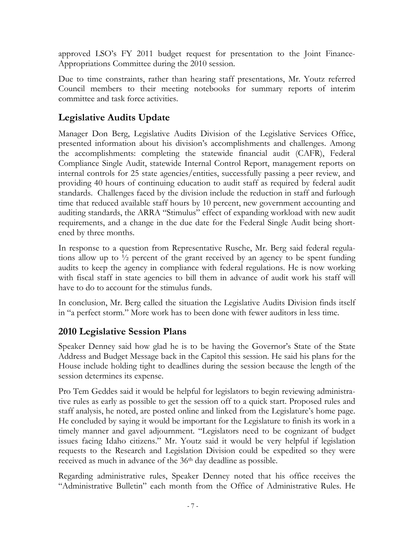approved LSO's FY 2011 budget request for presentation to the Joint Finance-Appropriations Committee during the 2010 session.

Due to time constraints, rather than hearing staff presentations, Mr. Youtz referred Council members to their meeting notebooks for summary reports of interim committee and task force activities.

# **Legislative Audits Update**

Manager Don Berg, Legislative Audits Division of the Legislative Services Office, presented information about his division's accomplishments and challenges. Among the accomplishments: completing the statewide financial audit (CAFR), Federal Compliance Single Audit, statewide Internal Control Report, management reports on internal controls for 25 state agencies/entities, successfully passing a peer review, and providing 40 hours of continuing education to audit staff as required by federal audit standards. Challenges faced by the division include the reduction in staff and furlough time that reduced available staff hours by 10 percent, new government accounting and auditing standards, the ARRA "Stimulus" effect of expanding workload with new audit requirements, and a change in the due date for the Federal Single Audit being shortened by three months.

In response to a question from Representative Rusche, Mr. Berg said federal regulations allow up to  $\frac{1}{2}$  percent of the grant received by an agency to be spent funding audits to keep the agency in compliance with federal regulations. He is now working with fiscal staff in state agencies to bill them in advance of audit work his staff will have to do to account for the stimulus funds.

In conclusion, Mr. Berg called the situation the Legislative Audits Division finds itself in "a perfect storm." More work has to been done with fewer auditors in less time.

## **2010 Legislative Session Plans**

Speaker Denney said how glad he is to be having the Governor's State of the State Address and Budget Message back in the Capitol this session. He said his plans for the House include holding tight to deadlines during the session because the length of the session determines its expense.

Pro Tem Geddes said it would be helpful for legislators to begin reviewing administrative rules as early as possible to get the session off to a quick start. Proposed rules and staff analysis, he noted, are posted online and linked from the Legislature's home page. He concluded by saying it would be important for the Legislature to finish its work in a timely manner and gavel adjournment. "Legislators need to be cognizant of budget issues facing Idaho citizens." Mr. Youtz said it would be very helpful if legislation requests to the Research and Legislation Division could be expedited so they were received as much in advance of the 36<sup>th</sup> day deadline as possible.

Regarding administrative rules, Speaker Denney noted that his office receives the "Administrative Bulletin" each month from the Office of Administrative Rules. He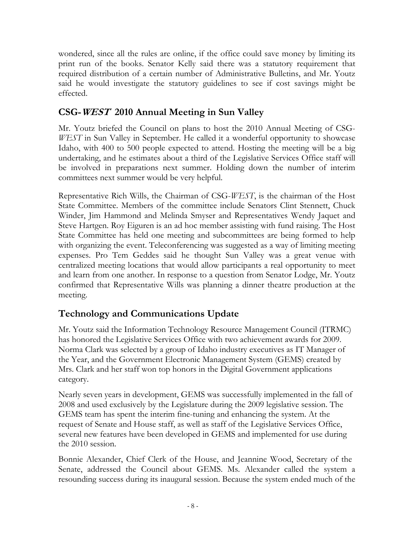wondered, since all the rules are online, if the office could save money by limiting its print run of the books. Senator Kelly said there was a statutory requirement that required distribution of a certain number of Administrative Bulletins, and Mr. Youtz said he would investigate the statutory guidelines to see if cost savings might be effected.

## **CSG-WEST 2010 Annual Meeting in Sun Valley**

Mr. Youtz briefed the Council on plans to host the 2010 Annual Meeting of CSG-*WEST* in Sun Valley in September. He called it a wonderful opportunity to showcase Idaho, with 400 to 500 people expected to attend. Hosting the meeting will be a big undertaking, and he estimates about a third of the Legislative Services Office staff will be involved in preparations next summer. Holding down the number of interim committees next summer would be very helpful.

Representative Rich Wills, the Chairman of CSG-*WEST*, is the chairman of the Host State Committee. Members of the committee include Senators Clint Stennett, Chuck Winder, Jim Hammond and Melinda Smyser and Representatives Wendy Jaquet and Steve Hartgen. Roy Eiguren is an ad hoc member assisting with fund raising. The Host State Committee has held one meeting and subcommittees are being formed to help with organizing the event. Teleconferencing was suggested as a way of limiting meeting expenses. Pro Tem Geddes said he thought Sun Valley was a great venue with centralized meeting locations that would allow participants a real opportunity to meet and learn from one another. In response to a question from Senator Lodge, Mr. Youtz confirmed that Representative Wills was planning a dinner theatre production at the meeting.

# **Technology and Communications Update**

Mr. Youtz said the Information Technology Resource Management Council (ITRMC) has honored the Legislative Services Office with two achievement awards for 2009. Norma Clark was selected by a group of Idaho industry executives as IT Manager of the Year, and the Government Electronic Management System (GEMS) created by Mrs. Clark and her staff won top honors in the Digital Government applications category.

Nearly seven years in development, GEMS was successfully implemented in the fall of 2008 and used exclusively by the Legislature during the 2009 legislative session. The GEMS team has spent the interim fine-tuning and enhancing the system. At the request of Senate and House staff, as well as staff of the Legislative Services Office, several new features have been developed in GEMS and implemented for use during the 2010 session.

Bonnie Alexander, Chief Clerk of the House, and Jeannine Wood, Secretary of the Senate, addressed the Council about GEMS. Ms. Alexander called the system a resounding success during its inaugural session. Because the system ended much of the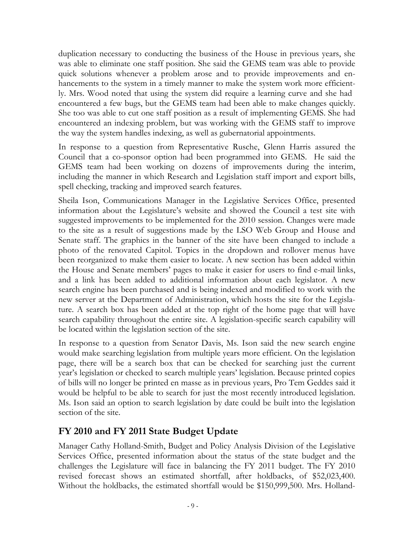duplication necessary to conducting the business of the House in previous years, she was able to eliminate one staff position. She said the GEMS team was able to provide quick solutions whenever a problem arose and to provide improvements and enhancements to the system in a timely manner to make the system work more efficiently. Mrs. Wood noted that using the system did require a learning curve and she had encountered a few bugs, but the GEMS team had been able to make changes quickly. She too was able to cut one staff position as a result of implementing GEMS. She had encountered an indexing problem, but was working with the GEMS staff to improve the way the system handles indexing, as well as gubernatorial appointments.

In response to a question from Representative Rusche, Glenn Harris assured the Council that a co-sponsor option had been programmed into GEMS. He said the GEMS team had been working on dozens of improvements during the interim, including the manner in which Research and Legislation staff import and export bills, spell checking, tracking and improved search features.

Sheila Ison, Communications Manager in the Legislative Services Office, presented information about the Legislature's website and showed the Council a test site with suggested improvements to be implemented for the 2010 session. Changes were made to the site as a result of suggestions made by the LSO Web Group and House and Senate staff. The graphics in the banner of the site have been changed to include a photo of the renovated Capitol. Topics in the dropdown and rollover menus have been reorganized to make them easier to locate. A new section has been added within the House and Senate members' pages to make it easier for users to find e-mail links, and a link has been added to additional information about each legislator. A new search engine has been purchased and is being indexed and modified to work with the new server at the Department of Administration, which hosts the site for the Legislature. A search box has been added at the top right of the home page that will have search capability throughout the entire site. A legislation-specific search capability will be located within the legislation section of the site.

In response to a question from Senator Davis, Ms. Ison said the new search engine would make searching legislation from multiple years more efficient. On the legislation page, there will be a search box that can be checked for searching just the current year's legislation or checked to search multiple years' legislation. Because printed copies of bills will no longer be printed en masse as in previous years, Pro Tem Geddes said it would be helpful to be able to search for just the most recently introduced legislation. Ms. Ison said an option to search legislation by date could be built into the legislation section of the site.

## **FY 2010 and FY 2011 State Budget Update**

Manager Cathy Holland-Smith, Budget and Policy Analysis Division of the Legislative Services Office, presented information about the status of the state budget and the challenges the Legislature will face in balancing the FY 2011 budget. The FY 2010 revised forecast shows an estimated shortfall, after holdbacks, of \$52,023,400. Without the holdbacks, the estimated shortfall would be \$150,999,500. Mrs. Holland